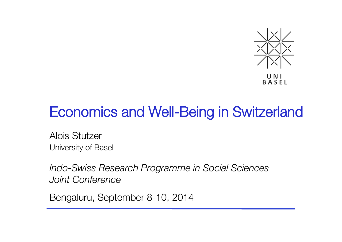

# Economics and Well-Being in Switzerland

Alois Stutzer University of Basel

*Indo-Swiss Research Programme in Social Sciences Joint Conference*

Bengaluru, September 8-10, 2014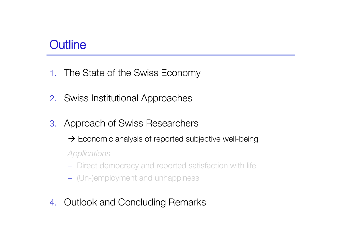### **Outline**

- 1. The State of the Swiss Economy
- 2. Swiss Institutional Approaches
- 3. Approach of Swiss Researchers
	- $\rightarrow$  Economic analysis of reported subjective well-being

*Applications*

- Direct democracy and reported satisfaction with life
- (Un-)employment and unhappiness
- 4. Outlook and Concluding Remarks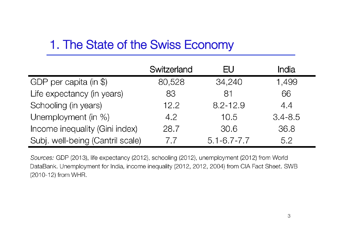## 1. The State of the Swiss Economy

|                                  | Switzerland | EU                | India       |
|----------------------------------|-------------|-------------------|-------------|
| GDP per capita (in \$)           | 80,528      | 34,240            | 1,499       |
| Life expectancy (in years)       | 83          | 81                | 66          |
| Schooling (in years)             | 12.2        | $8.2 - 12.9$      | 4.4         |
| Unemployment (in %)              | 4.2         | 10.5              | $3.4 - 8.5$ |
| Income inequality (Gini index)   | 28.7        | 30.6              | 36.8        |
| Subj. well-being (Cantril scale) | 7.7         | $5.1 - 6.7 - 7.7$ | 5.2         |

Sources: GDP (2013), life expectancy (2012), schooling (2012), unemployment (2012) from World DataBank. Unemployment for India, income inequality (2012, 2012, 2004) from CIA Fact Sheet. SWB (2010-12) from WHR.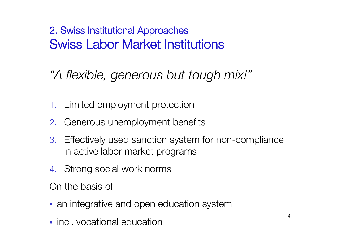### 2. Swiss Institutional Approaches" Swiss Labor Market Institutions

*"A flexible, generous but tough mix!"*

- 1. Limited employment protection
- 2. Generous unemployment benefits
- 3. Effectively used sanction system for non-compliance in active labor market programs
- 4. Strong social work norms

On the basis of

- an integrative and open education system
- incl. vocational education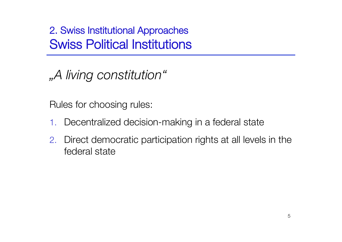2. Swiss Institutional Approaches" Swiss Political Institutions

*"A living constitution"*

Rules for choosing rules:

- 1. Decentralized decision-making in a federal state
- 2. Direct democratic participation rights at all levels in the federal state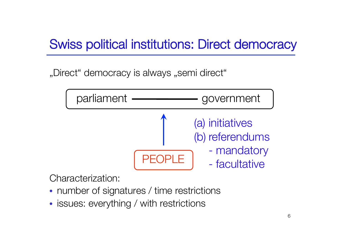# Swiss political institutions: Direct democracy

"Direct" democracy is always "semi direct"



Characterization:

- number of signatures / time restrictions
- issues: everything / with restrictions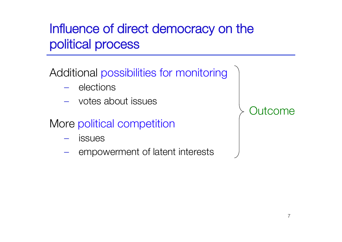# Influence of direct democracy on the political process

Additional possibilities for monitoring

- elections
- votes about issues
- More political competition
	- **issues**
	- empowerment of latent interests

Outcome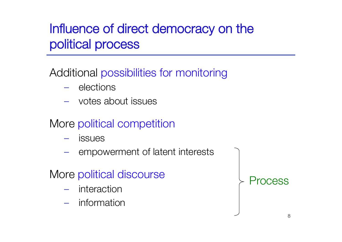# Influence of direct democracy on the political process

Additional possibilities for monitoring

- elections
- votes about issues
- More political competition
	- **issues**
	- empowerment of latent interests

More political discourse

- interaction
- information

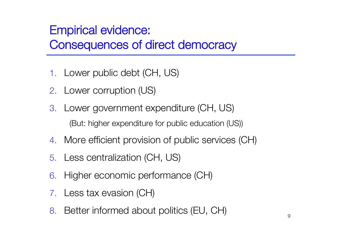## **Empirical evidence:** Consequences of direct democracy

- 1. Lower public debt (CH, US)
- 2. Lower corruption (US)
- 3. Lower government expenditure (CH, US) (But: higher expenditure for public education (US))
- 4. More efficient provision of public services (CH)
- 5. Less centralization (CH, US)
- 6. Higher economic performance (CH)
- 7. Less tax evasion (CH)
- 8. Better informed about politics (EU, CH)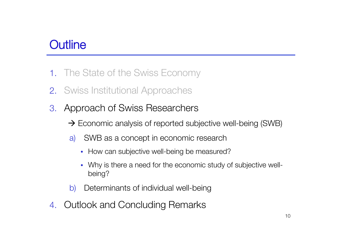### **Outline**

- 1. The State of the Swiss Economy
- 2. Swiss Institutional Approaches
- 3. Approach of Swiss Researchers
	- $\rightarrow$  Economic analysis of reported subjective well-being (SWB)
	- a) SWB as a concept in economic research
		- How can subjective well-being be measured?
		- Why is there a need for the economic study of subjective wellbeing?
	- b) Determinants of individual well-being
- 4. Outlook and Concluding Remarks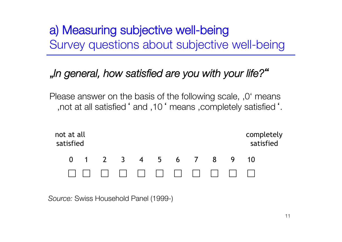a) Measuring subjective well-being Survey questions about subjective well-being

### "*In general, how satisfied are you with your life?*"

Please answer on the basis of the following scale,  $,0'$  means , not at all satisfied ' and , 10 ' means , completely satisfied '.



*Source:* Swiss Household Panel (1999-)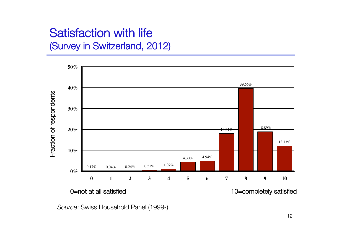### Satisfaction with life (Survey in Switzerland, 2012)



*Source:* Swiss Household Panel (1999-)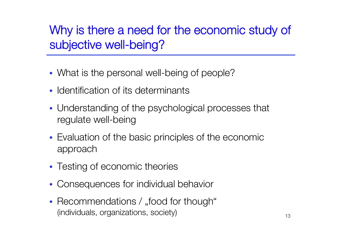Why is there a need for the economic study of subjective well-being?

- What is the personal well-being of people?
- Identification of its determinants
- Understanding of the psychological processes that regulate well-being
- Evaluation of the basic principles of the economic approach
- Testing of economic theories
- Consequences for individual behavior
- Recommendations / "food for though"  $($ individuals, organizations, society $)$   $($ individuals,  $)$   $($ <sub>13</sub>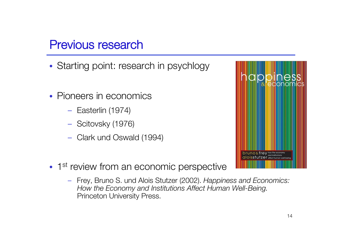### Previous research

- Starting point: research in psychlogy
- Pioneers in economics
	- Easterlin (1974)
	- Scitovsky (1976)
	- Clark und Oswald (1994)



- 1<sup>st</sup> review from an economic perspective
	- Frey, Bruno S. und Alois Stutzer (2002). *Happiness and Economics: How the Economy and Institutions Affect Human Well-Being.* Princeton University Press.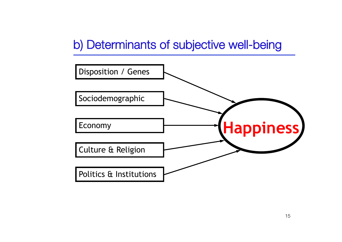## b) Determinants of subjective well-being

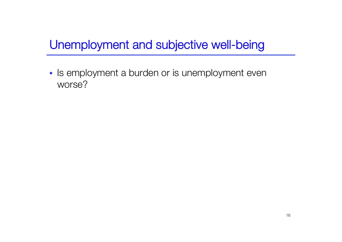• Is employment a burden or is unemployment even worse?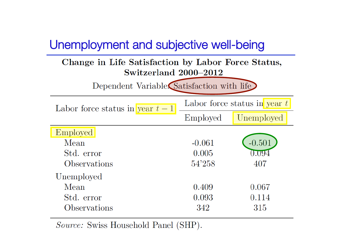#### Change in Life Satisfaction by Labor Force Status, Switzerland 2000-2012

Dependent Variable. Satisfaction with life

| Labor force status in year $t-1$ | Labor force status in year $t$ |            |
|----------------------------------|--------------------------------|------------|
|                                  | Employed                       | Unemployed |
| Employed                         |                                |            |
| Mean                             | $-0.061$                       | $-0.501$   |
| Std. error                       | 0.005                          | 0.094      |
| Observations                     | 54'258                         | 407        |
| Unemployed                       |                                |            |
| Mean                             | 0.409                          | 0.067      |
| Std. error                       | 0.093                          | 0.114      |
| Observations                     | 342                            | 315        |

*Source:* Swiss Household Panel (SHP).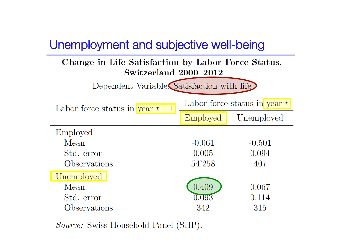#### Change in Life Satisfaction by Labor Force Status, Switzerland 2000-2012

Dependent Variable. Satisfaction with life

| Labor force status in year $t-1$ | Labor force status in year $t$ |            |
|----------------------------------|--------------------------------|------------|
|                                  | Employed                       | Unemployed |
| Employed                         |                                |            |
| Mean                             | $-0.061$                       | $-0.501$   |
| Std. error                       | 0.005                          | 0.094      |
| Observations                     | 54'258                         | 407        |
| Unemployed                       |                                |            |
| Mean                             | 0.409                          | 0.067      |
| Std. error                       | $0.093\,$                      | 0.114      |
| Observations                     | 342                            | 315        |

*Source:* Swiss Household Panel (SHP).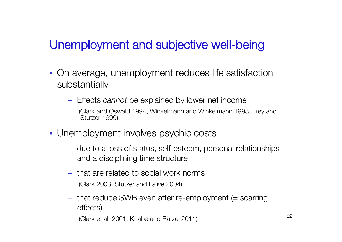- On average, unemployment reduces life satisfaction substantially
	- Effects *cannot* be explained by lower net income
		- (Clark and Oswald 1994, Winkelmann and Winkelmann 1998, Frey and Stutzer 1999)
- Unemployment involves psychic costs
	- due to a loss of status, self-esteem, personal relationships and a disciplining time structure
	- that are related to social work norms (Clark 2003, Stutzer and Lalive 2004)
	- that reduce SWB even after re-employment (= scarring effects)

(Clark et al. 2001, Knabe and Rätzel 2011) <sup>22</sup>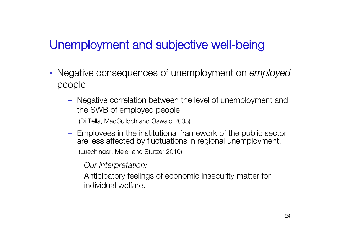- Negative consequences of unemployment on *employed*  people
	- Negative correlation between the level of unemployment and the SWB of employed people

(Di Tella, MacCulloch and Oswald 2003)

– Employees in the institutional framework of the public sector are less affected by fluctuations in regional unemployment.

(Luechinger, Meier and Stutzer 2010)

*Our interpretation:*

Anticipatory feelings of economic insecurity matter for individual welfare.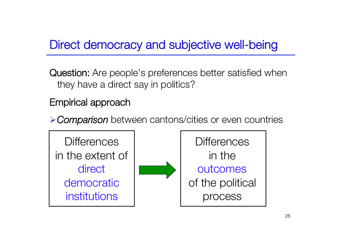## Direct democracy and subjective well-being

Question: Are people's preferences better satisfied when they have a direct say in politics?

### Empirical approach

*Comparison* between cantons/cities or even countries

**Differences** in the extent of direct democratic institutions



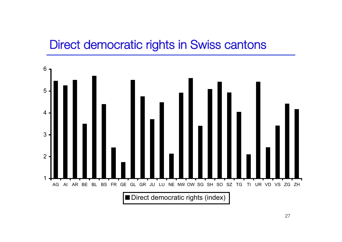### Direct democratic rights in Swiss cantons

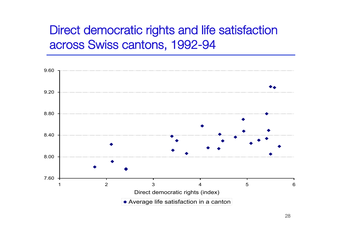### Direct democratic rights and life satisfaction across Swiss cantons, 1992-94

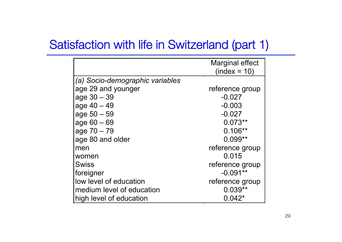### Satisfaction with life in Switzerland (part 1)

|                                 | <b>Marginal effect</b><br>$(index = 10)$ |
|---------------------------------|------------------------------------------|
| (a) Socio-demographic variables |                                          |
| age 29 and younger              | reference group                          |
| $age 30 - 39$                   | $-0.027$                                 |
| $age\ 40 - 49$                  | $-0.003$                                 |
| $age 50 - 59$                   | $-0.027$                                 |
| $age 60 - 69$                   | $0.073**$                                |
| $age\ 70 - 79$                  | $0.106**$                                |
| age 80 and older                | $0.099**$                                |
| men                             | reference group                          |
| women                           | 0.015                                    |
| <b>Swiss</b>                    | reference group                          |
| foreigner                       | $-0.091**$                               |
| low level of education          | reference group                          |
| medium level of education       | $0.039**$                                |
| high level of education         | $0.042*$                                 |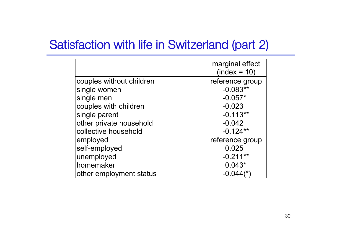### Satisfaction with life in Switzerland (part 2)

|                          | marginal effect<br>$(index = 10)$ |
|--------------------------|-----------------------------------|
| couples without children | reference group                   |
| single women             | $-0.083**$                        |
| single men               | $-0.057*$                         |
| couples with children    | $-0.023$                          |
| single parent            | $-0.113**$                        |
| other private household  | $-0.042$                          |
| collective household     | $-0.124**$                        |
| employed                 | reference group                   |
| self-employed            | 0.025                             |
| unemployed               | $-0.211**$                        |
| homemaker                | $0.043*$                          |
| other employment status  | $-0.044$ (*                       |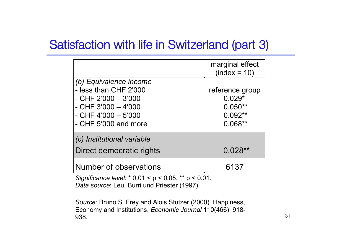### Satisfaction with life in Switzerland (part 3)

|                                                                                                                                                          | marginal effect<br>$(index = 10)$                                  |
|----------------------------------------------------------------------------------------------------------------------------------------------------------|--------------------------------------------------------------------|
| (b) Equivalence income<br>- less than CHF 2'000<br>$-$ CHF 2'000 $-$ 3'000<br>$-$ CHF 3'000 $-$ 4'000<br>$-$ CHF 4'000 $-$ 5'000<br>- CHF 5'000 and more | reference group<br>$0.029*$<br>$0.050**$<br>$0.092**$<br>$0.068**$ |
| (c) Institutional variable<br>Direct democratic rights                                                                                                   | $0.028**$                                                          |
| Number of observations                                                                                                                                   | 6137                                                               |

*Significance level*: \* 0.01 < p < 0.05, \*\* p < 0.01. *Data source*: Leu, Burri und Priester (1997).

*Source:* Bruno S. Frey and Alois Stutzer (2000). Happiness, Economy and Institutions. *Economic Journal* 110(466): 918- **938.**  $\frac{31}{2}$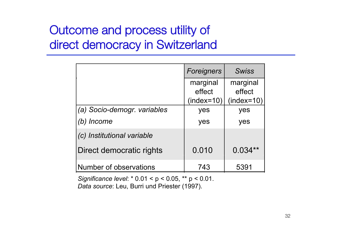## Outcome and process utility of direct democracy in Switzerland

|                             | Foreigners             |                        |
|-----------------------------|------------------------|------------------------|
|                             | marginal               | marginal               |
|                             | effect<br>$(index=10)$ | effect<br>$(index=10)$ |
| (a) Socio-demogr. variables | yes                    | yes                    |
| Income                      | yes                    | yes                    |
| (c) Institutional variable  |                        |                        |
| Direct democratic rights    | 0.010                  | $0.034**$              |
| Number of observations      | 743                    | 5391                   |

*Significance level*: \* 0.01 < p < 0.05, \*\* p < 0.01. *Data source*: Leu, Burri und Priester (1997).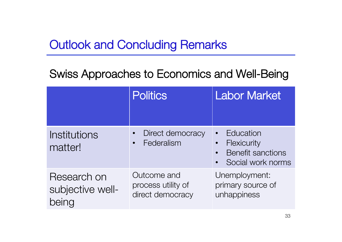## Outlook and Concluding Remarks

### Swiss Approaches to Economics and Well-Being

|                                          | <b>Politics</b>                                       | Labor Market                                                                           |
|------------------------------------------|-------------------------------------------------------|----------------------------------------------------------------------------------------|
| Institutions<br>matter!                  | Direct democracy<br>Federalism                        | Education<br>Flexicurity<br>$\bullet$<br><b>Benefit sanctions</b><br>Social work norms |
| Research on<br>subjective well-<br>being | Outcome and<br>process utility of<br>direct democracy | Unemployment:<br>primary source of<br>unhappiness                                      |